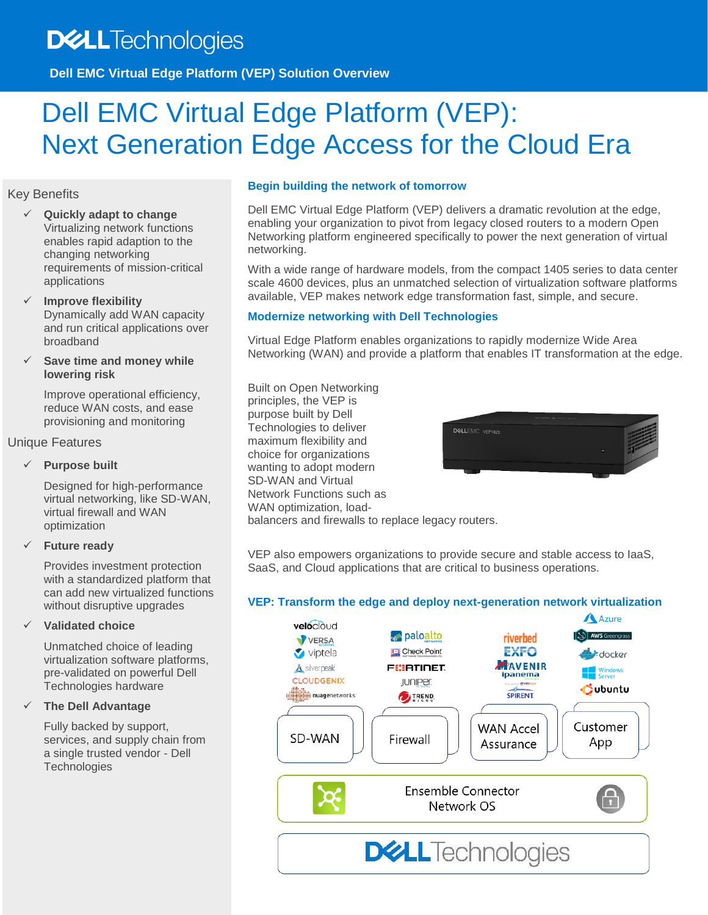## **DELL**Technologies

**Dell EMC Virtual Edge Platform (VEP) Solution Overview**

# Dell EMC Virtual Edge Platform (VEP): Next Generation Edge Access for the Cloud Era

#### Key Benefits

- **Quickly adapt to change** Virtualizing network functions enables rapid adaption to the changing networking requirements of mission-critical applications
- **Improve flexibility** Dynamically add WAN capacity and run critical applications over broadband
- **Save time and money while lowering risk**

Improve operational efficiency, reduce WAN costs, and ease provisioning and monitoring

#### Unique Features

#### **Purpose built**

Designed for high-performance virtual networking, like SD-WAN, virtual firewall and WAN optimization

#### **Future ready**

Provides investment protection with a standardized platform that can add new virtualized functions without disruptive upgrades

#### **Validated choice**

Unmatched choice of leading virtualization software platforms, pre-validated on powerful Dell Technologies hardware

#### **The Dell Advantage**

Fully backed by support, services, and supply chain from a single trusted vendor - Dell **Technologies** 

#### **Begin building the network of tomorrow**

Dell EMC Virtual Edge Platform (VEP) delivers a dramatic revolution at the edge, enabling your organization to pivot from legacy closed routers to a modern Open Networking platform engineered specifically to power the next generation of virtual networking.

With a wide range of hardware models, from the compact 1405 series to data center scale 4600 devices, plus an unmatched selection of virtualization software platforms available, VEP makes network edge transformation fast, simple, and secure.

#### **Modernize networking with Dell Technologies**

Virtual Edge Platform enables organizations to rapidly modernize Wide Area Networking (WAN) and provide a platform that enables IT transformation at the edge.

Built on Open Networking principles, the VEP is purpose built by Dell Technologies to deliver maximum flexibility and choice for organizations wanting to adopt modern SD-WAN and Virtual Network Functions such as WAN optimization, loadbalancers and firewalls to replace legacy routers.



VEP also empowers organizations to provide secure and stable access to IaaS, SaaS, and Cloud applications that are critical to business operations.

#### **VEP: Transform the edge and deploy next-generation network virtualization**